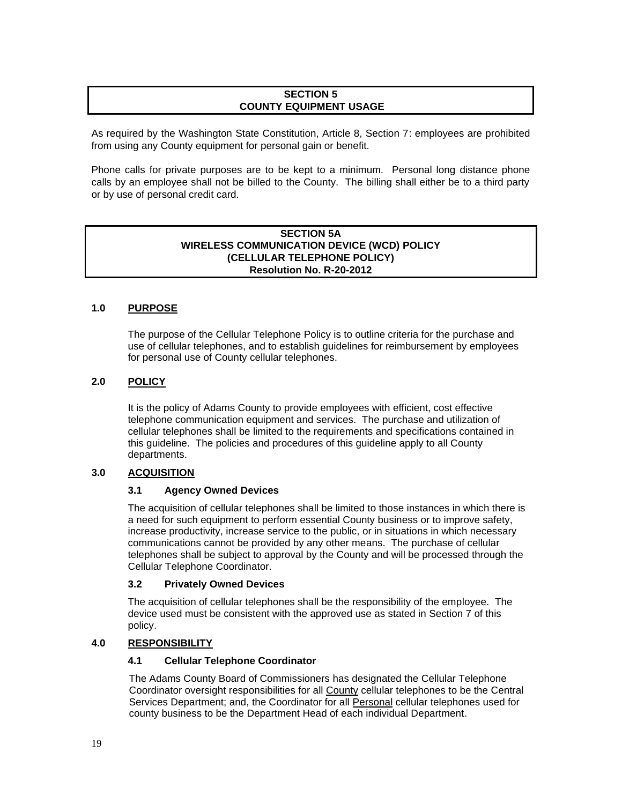## **SECTION 5 COUNTY EQUIPMENT USAGE**

As required by the Washington State Constitution, Article 8, Section 7: employees are prohibited from using any County equipment for personal gain or benefit.

Phone calls for private purposes are to be kept to a minimum. Personal long distance phone calls by an employee shall not be billed to the County. The billing shall either be to a third party or by use of personal credit card.

# **SECTION 5A WIRELESS COMMUNICATION DEVICE (WCD) POLICY (CELLULAR TELEPHONE POLICY) Resolution No. R-20-2012**

## **1.0 PURPOSE**

The purpose of the Cellular Telephone Policy is to outline criteria for the purchase and use of cellular telephones, and to establish guidelines for reimbursement by employees for personal use of County cellular telephones.

## **2.0 POLICY**

It is the policy of Adams County to provide employees with efficient, cost effective telephone communication equipment and services. The purchase and utilization of cellular telephones shall be limited to the requirements and specifications contained in this guideline. The policies and procedures of this guideline apply to all County departments.

# **3.0 ACQUISITION**

### **3.1 Agency Owned Devices**

The acquisition of cellular telephones shall be limited to those instances in which there is a need for such equipment to perform essential County business or to improve safety, increase productivity, increase service to the public, or in situations in which necessary communications cannot be provided by any other means. The purchase of cellular telephones shall be subject to approval by the County and will be processed through the Cellular Telephone Coordinator.

### **3.2 Privately Owned Devices**

The acquisition of cellular telephones shall be the responsibility of the employee. The device used must be consistent with the approved use as stated in Section 7 of this policy.

### **4.0 RESPONSIBILITY**

## **4.1 Cellular Telephone Coordinator**

The Adams County Board of Commissioners has designated the Cellular Telephone Coordinator oversight responsibilities for all County cellular telephones to be the Central Services Department; and, the Coordinator for all Personal cellular telephones used for county business to be the Department Head of each individual Department.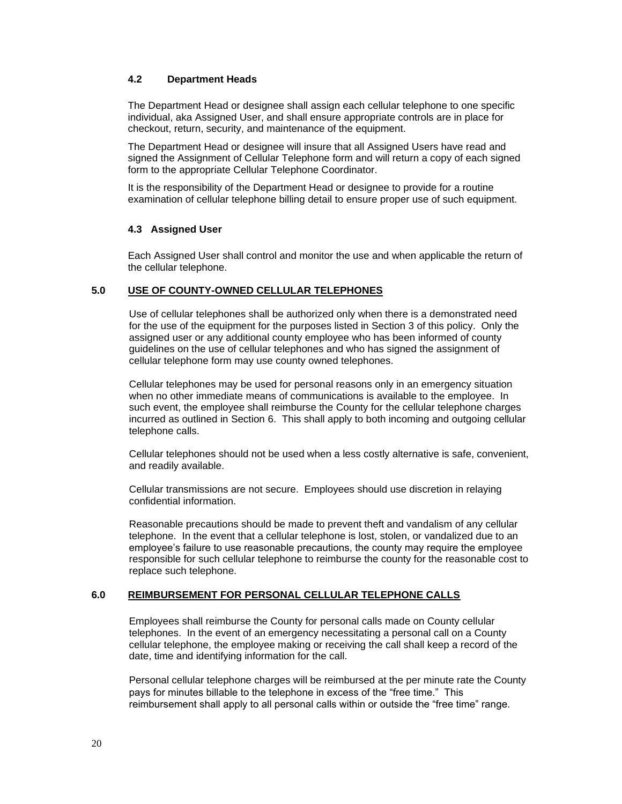# **4.2 Department Heads**

The Department Head or designee shall assign each cellular telephone to one specific individual, aka Assigned User, and shall ensure appropriate controls are in place for checkout, return, security, and maintenance of the equipment.

The Department Head or designee will insure that all Assigned Users have read and signed the Assignment of Cellular Telephone form and will return a copy of each signed form to the appropriate Cellular Telephone Coordinator.

It is the responsibility of the Department Head or designee to provide for a routine examination of cellular telephone billing detail to ensure proper use of such equipment.

## **4.3 Assigned User**

Each Assigned User shall control and monitor the use and when applicable the return of the cellular telephone.

## **5.0 USE OF COUNTY-OWNED CELLULAR TELEPHONES**

Use of cellular telephones shall be authorized only when there is a demonstrated need for the use of the equipment for the purposes listed in Section 3 of this policy. Only the assigned user or any additional county employee who has been informed of county guidelines on the use of cellular telephones and who has signed the assignment of cellular telephone form may use county owned telephones.

Cellular telephones may be used for personal reasons only in an emergency situation when no other immediate means of communications is available to the employee. In such event, the employee shall reimburse the County for the cellular telephone charges incurred as outlined in Section 6. This shall apply to both incoming and outgoing cellular telephone calls.

Cellular telephones should not be used when a less costly alternative is safe, convenient, and readily available.

Cellular transmissions are not secure. Employees should use discretion in relaying confidential information.

Reasonable precautions should be made to prevent theft and vandalism of any cellular telephone. In the event that a cellular telephone is lost, stolen, or vandalized due to an employee's failure to use reasonable precautions, the county may require the employee responsible for such cellular telephone to reimburse the county for the reasonable cost to replace such telephone.

# **6.0 REIMBURSEMENT FOR PERSONAL CELLULAR TELEPHONE CALLS**

Employees shall reimburse the County for personal calls made on County cellular telephones. In the event of an emergency necessitating a personal call on a County cellular telephone, the employee making or receiving the call shall keep a record of the date, time and identifying information for the call.

Personal cellular telephone charges will be reimbursed at the per minute rate the County pays for minutes billable to the telephone in excess of the "free time." This reimbursement shall apply to all personal calls within or outside the "free time" range.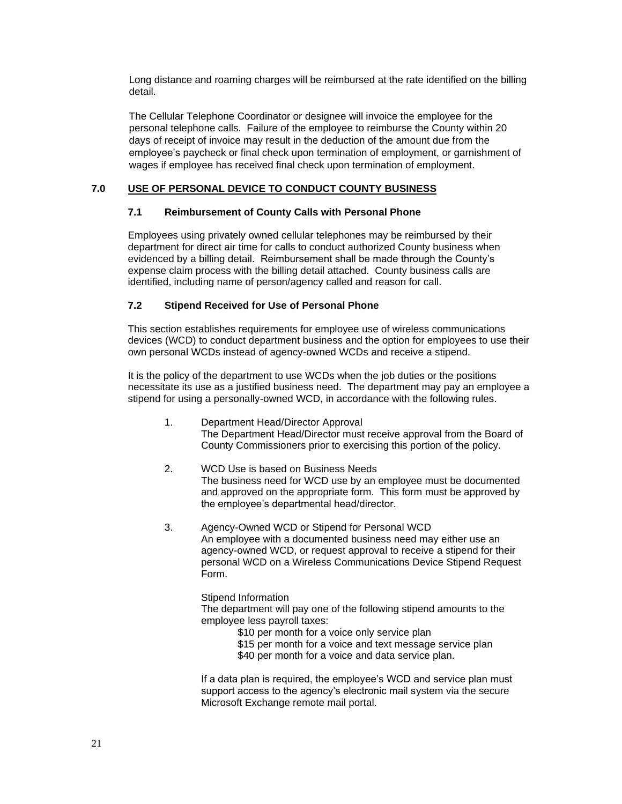Long distance and roaming charges will be reimbursed at the rate identified on the billing detail.

The Cellular Telephone Coordinator or designee will invoice the employee for the personal telephone calls. Failure of the employee to reimburse the County within 20 days of receipt of invoice may result in the deduction of the amount due from the employee's paycheck or final check upon termination of employment, or garnishment of wages if employee has received final check upon termination of employment.

# **7.0 USE OF PERSONAL DEVICE TO CONDUCT COUNTY BUSINESS**

# **7.1 Reimbursement of County Calls with Personal Phone**

Employees using privately owned cellular telephones may be reimbursed by their department for direct air time for calls to conduct authorized County business when evidenced by a billing detail. Reimbursement shall be made through the County's expense claim process with the billing detail attached. County business calls are identified, including name of person/agency called and reason for call.

# **7.2 Stipend Received for Use of Personal Phone**

This section establishes requirements for employee use of wireless communications devices (WCD) to conduct department business and the option for employees to use their own personal WCDs instead of agency-owned WCDs and receive a stipend.

It is the policy of the department to use WCDs when the job duties or the positions necessitate its use as a justified business need. The department may pay an employee a stipend for using a personally-owned WCD, in accordance with the following rules.

- 1. Department Head/Director Approval The Department Head/Director must receive approval from the Board of County Commissioners prior to exercising this portion of the policy.
- 2. WCD Use is based on Business Needs The business need for WCD use by an employee must be documented and approved on the appropriate form. This form must be approved by the employee's departmental head/director.
- 3. Agency-Owned WCD or Stipend for Personal WCD An employee with a documented business need may either use an agency-owned WCD, or request approval to receive a stipend for their personal WCD on a Wireless Communications Device Stipend Request Form.

Stipend Information

The department will pay one of the following stipend amounts to the employee less payroll taxes:

- \$10 per month for a voice only service plan
- \$15 per month for a voice and text message service plan
- \$40 per month for a voice and data service plan.

If a data plan is required, the employee's WCD and service plan must support access to the agency's electronic mail system via the secure Microsoft Exchange remote mail portal.